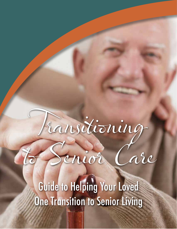# Transitioning

to Senior Care

Guide to Helping Your Loved **One Transition to Senior Living**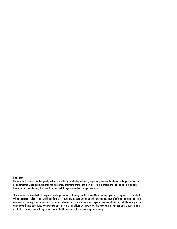#### Disclaimer

Please note: This resource offers good practices and industry standards provided by respected government and nonprofit organizations, as noted throughout. Franciscan Ministries has made every attempt to provide the most accurate information available at a particular point in time with the understanding that the information will change as conditions change over time.

This resource is provided with the express knowledge and understanding that Franciscan Ministries employees and the producers of content will not be responsible or in any way liable for the results of any act done or omitted to be done on the basis of information contained in this document nor for any errors or omissions in the said information. Franciscan Ministries expressly disclaim all and any liability for any loss or damage which may be suffered by any person or corporate entity which may make use of this resource or any person arising out of or as a result of or in connection with any act done or omitted to be done by the person using the training.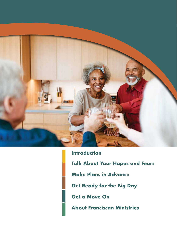

**Introduction Talk About Your Hopes and Fears Make Plans in Advance Get Ready for the Big Day Get a Move On About Franciscan Ministries**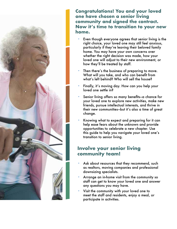

**Congratulations! You and your loved one have chosen a senior living community and signed the contract. Now it's time to transition to your new home.**

- **•** Even though everyone agrees that senior living is the right choice, your loved one may still feel anxious, particularly if they're leaving their beloved family home. You may have your own concerns over whether the right decision was made, how your loved one will adjust to their new environment, or how they'll be treated by staff.
- Then there's the business of preparing to move. What will you take, and who can benefit from what's left behind? Who will sell the house?
- **•** Finally, it's moving day. How can you help your loved one settle in?
- **•** Senior living offers so many benefits—a chance for your loved one to explore new activities, make new friends, pursue intellectual interests, and thrive in their new communities—but it's also a time of great change.
- **•** Knowing what to expect and preparing for it can help ease fears about the unknown and provide opportunities to celebrate a new chapter. Use this guide to help you navigate your loved one's transition to senior living.

#### **Involve your senior living community team!**

- Ask about resources that they recommend, such as realtors, moving companies and professional downsizing specialists.
- **•** Arrange an in-home visit from the community so staff can get to know your loved one and answer any questions you may have.
- **•** Visit the community with your loved one to meet the staff and residents, enjoy a meal, or participate in activities.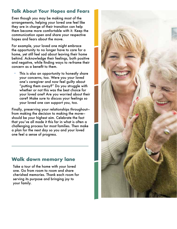#### **Talk About Your Hopes and Fears**

Even though you may be making most of the arrangements, helping your loved one feel like they are in charge of their transition can help them become more comfortable with it. Keep the communication open and share your respective hopes and fears about the move.

For example, your loved one might embrace the opportunity to no longer have to care for a home, yet still feel sad about leaving their home behind. Acknowledge their feelings, both positive and negative, while finding ways to re-frame their concern as a benefit to them.

This is also an opportunity to honestly share your concerns, too. Were you your loved one's caregiver and now feel guilty about "putting them away?" Do you struggle with whether or not this was the best choice for your loved one? Are you worried about their care? Make sure to discuss your feelings so your loved one can support you, too.

Finally, preserving your relationships throughout from making the decision to making the move should be your highest aim. Celebrate the fact that you've all made it this far in what is often a challenging process for most families. Then make a plan for the next day so you and your loved one feel a sense of progress.

# **Walk down memory lane**

Take a tour of the home with your loved one. Go from room to room and share cherished memories. Thank each room for serving its purpose and bringing joy to your family.

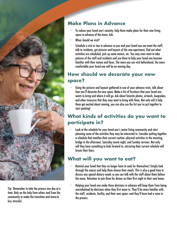

Tip: Remember to take the process one day at a time. Rely on the help from others and from the community to make the transition and move-in less stressful.

# **Make Plans in Advance**

- **•** To reduce your loved one's anxiety, help them make plans for their new living space in advance of the move. Ask:
- **•** When should we visit?
- **•** Schedule a visit or two in advance so you and your loved one can meet the staff, talk to residents, get pictures and layouts of the new apartment, find out what activities are scheduled, pick up some menus, etc. You may even want to take pictures of the staff and residents and use them to help your loved one become familiar with their names and faces. The more you can visit beforehand, the more comfortable your loved one will be on moving day.

#### **How should we decorate your new space?**

**•** Using the pictures and layouts gathered in one of your advance visits, talk about how you'll decorate the new space. Make a list of furniture that your loved one wants to bring and where it will go. Ask about favorite photos, artwork, keepsakes, and other treasures that they may want to bring with them. Not only will it help them get excited about moving, you can also use the list you've put together to start packing!

# **What kinds of activities do you want to participate in?**

**•** Look at the schedule for your loved one's senior living community and start planning some of the activities they may be interested in. Consider putting together a schedule that matches their current routine—physical activities in the morning, bridge in the afternoon, Saturday movie night, and Sunday services. Not only will they have something to look forward to, mirroring their current schedule will lessen their fears.

# **What will you want to eat?**

- **•** Remind your loved that they no longer have to cook for themselves! Simply look through the menus and help them choose their meals. This is also a good time to discuss any special dietary needs so you can talk with the staff about them before the move. Volunteer to join them for dinner on their first night in their new home.
- **•** Helping your loved one make these decisions in advance will keep them from being overwhelmed by decisions when they first move in. They'll be more familiar with the staff, residents, facility, and their own space—and they'll have had a voice in the process.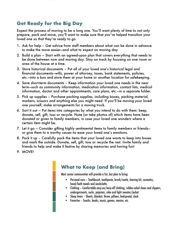#### **Get Ready for the Big Day**

Expect the process of moving to be a long one. You'll want plenty of time to not only prepare, pack and move, you'll want to make sure that you've helped transition your loved one so that they're ready to go.

- 1. Ask for help Get advice from staff members about what can be done in advance to make the move easier—and what to expect on moving day.
- 2. Build a plan Start with an agreed-upon plan that covers everything that needs to be done between now and moving day. Stay on track by focusing on one room or area of the house at a time.
- 3. Store historical documents Put all of your loved one's historical legal and financial documents—wills, power of attorney, taxes, bank statements, policies, etc.—into a box and store them at your home or another location for safekeeping.
- 4. Save short-term documents Keep information your loved one needs in the near term—such as community information, medication information, contact lists, medical information, doctor and other appointments, care plans, etc.—in a separate folder.
- 5. Pick up supplies Purchase packing supplies, including boxes, packing material, markers, scissors and anything else you might need. If you'll be moving your loved one yourself, make arrangements for a moving truck.
- 6. Sort it out Put items into categories by what you intend to do with them: keep, donate, sell, gift, toss or recycle. Note (or take photos of) which items have been donated or given to family members, in case your loved one wonders where a certain item might be.
- 7. Let it go Consider gifting highly sentimental items to family members or friends or give them to a worthy cause—to ease your loved one's emotions.
- 8. Pack it up Carefully pack the items that your loved one wants to keep into boxes and mark the outside. Donate, sell, gift, toss or recycle the rest. Invite family and friends to help and make it festive by sharing memories and having fun!
- 9. MOVE!

# **What to Keep (and Bring)**

Most senior communities will provide a list, but plan to bring:

- Personal care Toothbrush, toothpaste, brush/comb, shaving kit, cosmetics, hand/bath towels and washcloths
- Clothing Comfortable easy-on/easy-off clothing, rubber-soled shoes and slippers, undergarments, socks, pajamas, robe and light sweater/jacket
- Sleep items Sheets, blanket, throw, pillows, bedspread, clock
- Favorites Snacks, books, music, games, movies, etc.